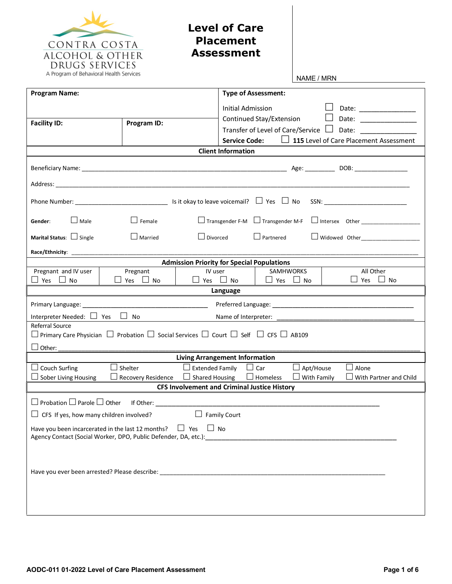

## **Level of Care Placement Assessment**

| <b>Program Name:</b>                                                                                                                                                                    |                                                                                                                        | <b>Type of Assessment:</b>                                            |                                               |  |  |  |
|-----------------------------------------------------------------------------------------------------------------------------------------------------------------------------------------|------------------------------------------------------------------------------------------------------------------------|-----------------------------------------------------------------------|-----------------------------------------------|--|--|--|
|                                                                                                                                                                                         |                                                                                                                        | <b>Initial Admission</b>                                              |                                               |  |  |  |
|                                                                                                                                                                                         |                                                                                                                        | Continued Stay/Extension                                              | $\Box$                                        |  |  |  |
| <b>Facility ID:</b>                                                                                                                                                                     | Program ID:                                                                                                            | Transfer of Level of Care/Service $\Box$                              |                                               |  |  |  |
|                                                                                                                                                                                         |                                                                                                                        | <b>Service Code:</b>                                                  | $\Box$ 115 Level of Care Placement Assessment |  |  |  |
|                                                                                                                                                                                         |                                                                                                                        | <b>Client Information</b>                                             |                                               |  |  |  |
|                                                                                                                                                                                         |                                                                                                                        |                                                                       |                                               |  |  |  |
|                                                                                                                                                                                         |                                                                                                                        |                                                                       |                                               |  |  |  |
|                                                                                                                                                                                         |                                                                                                                        |                                                                       |                                               |  |  |  |
| $\Box$ Male<br>Gender:                                                                                                                                                                  | $\Box$ Female                                                                                                          | □ Transgender F-M □ Transgender M-F □ Intersex Other ______________   |                                               |  |  |  |
| Marital Status: $\Box$ Single                                                                                                                                                           | $\Box$ Divorced<br>$\Box$ Married                                                                                      | $\Box$ Partnered                                                      | Widowed Other_________________                |  |  |  |
|                                                                                                                                                                                         |                                                                                                                        |                                                                       |                                               |  |  |  |
|                                                                                                                                                                                         |                                                                                                                        | <b>Admission Priority for Special Populations</b>                     |                                               |  |  |  |
| Pregnant and IV user<br>$\Box$ Yes<br>$\Box$ No                                                                                                                                         | Pregnant<br>IV user<br>$\Box$ Yes $\Box$ No                                                                            | SAMHWORKS<br>$\Box$ Yes $\Box$ No $\Box$ Yes $\Box$ No                | All Other<br>$\Box$ Yes<br>$\Box$ No          |  |  |  |
|                                                                                                                                                                                         |                                                                                                                        | Language                                                              |                                               |  |  |  |
|                                                                                                                                                                                         |                                                                                                                        |                                                                       |                                               |  |  |  |
| Interpreter Needed: $\Box$ Yes $\Box$                                                                                                                                                   | No.                                                                                                                    | Name of Interpreter:                                                  |                                               |  |  |  |
| <b>Referral Source</b>                                                                                                                                                                  |                                                                                                                        |                                                                       |                                               |  |  |  |
|                                                                                                                                                                                         | $\Box$ Primary Care Physician $\Box$ Probation $\Box$ Social Services $\Box$ Court $\Box$ Self $\Box$ CFS $\Box$ AB109 |                                                                       |                                               |  |  |  |
| Other:                                                                                                                                                                                  |                                                                                                                        |                                                                       |                                               |  |  |  |
| <b>Living Arrangement Information</b>                                                                                                                                                   |                                                                                                                        |                                                                       |                                               |  |  |  |
| Couch Surfing<br>Sober Living Housing                                                                                                                                                   | $\Box$ Shelter<br>$\Box$ Extended Family<br>$\Box$ Recovery Residence $\Box$ Shared Housing                            | $\Box$ Car<br>Apt/House<br>ப<br>$\Box$ Homeless<br>$\Box$ With Family | $\Box$ Alone<br>With Partner and Child        |  |  |  |
|                                                                                                                                                                                         |                                                                                                                        | <b>CFS Involvement and Criminal Justice History</b>                   |                                               |  |  |  |
|                                                                                                                                                                                         |                                                                                                                        |                                                                       |                                               |  |  |  |
| $\Box$ CFS If yes, how many children involved? $\Box$ Family Court                                                                                                                      |                                                                                                                        |                                                                       |                                               |  |  |  |
| Have you been incarcerated in the last 12 months? $\Box$ Yes $\Box$ No<br>Agency Contact (Social Worker, DPO, Public Defender, DA, etc.): [14] [2010] [2010] [2010] [2010] [2010] [2010 |                                                                                                                        |                                                                       |                                               |  |  |  |
|                                                                                                                                                                                         |                                                                                                                        |                                                                       |                                               |  |  |  |
|                                                                                                                                                                                         |                                                                                                                        |                                                                       |                                               |  |  |  |
|                                                                                                                                                                                         |                                                                                                                        |                                                                       |                                               |  |  |  |
|                                                                                                                                                                                         |                                                                                                                        |                                                                       |                                               |  |  |  |
|                                                                                                                                                                                         |                                                                                                                        |                                                                       |                                               |  |  |  |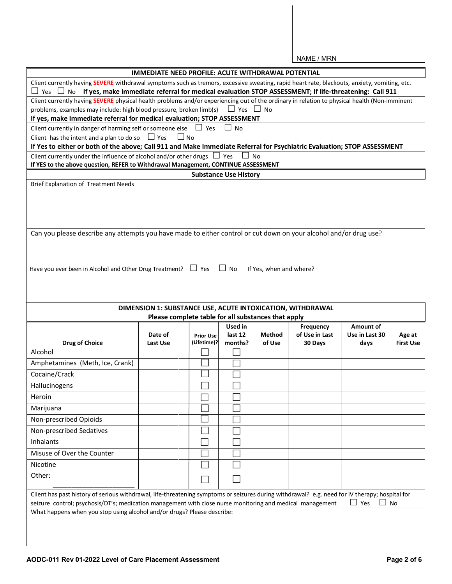| IMMEDIATE NEED PROFILE: ACUTE WITHDRAWAL POTENTIAL<br>Client currently having SEVERE withdrawal symptoms such as tremors, excessive sweating, rapid heart rate, blackouts, anxiety, vomiting, etc. |                                                                                                                               |                                 |                              |                         |                           |                        |                            |
|----------------------------------------------------------------------------------------------------------------------------------------------------------------------------------------------------|-------------------------------------------------------------------------------------------------------------------------------|---------------------------------|------------------------------|-------------------------|---------------------------|------------------------|----------------------------|
| Yes $\Box$ No If yes, make immediate referral for medical evaluation STOP ASSESSMENT; If life-threatening: Call 911                                                                                |                                                                                                                               |                                 |                              |                         |                           |                        |                            |
| Client currently having SEVERE physical health problems and/or experiencing out of the ordinary in relation to physical health (Non-imminent                                                       |                                                                                                                               |                                 |                              |                         |                           |                        |                            |
|                                                                                                                                                                                                    | problems, examples may include: high blood pressure, broken limb(s)<br>$\Box$ Yes $\Box$ No                                   |                                 |                              |                         |                           |                        |                            |
| If yes, make Immediate referral for medical evaluation; STOP ASSESSMENT                                                                                                                            |                                                                                                                               |                                 |                              |                         |                           |                        |                            |
| Client currently in danger of harming self or someone else $\Box$ Yes                                                                                                                              |                                                                                                                               |                                 | $\Box$ No                    |                         |                           |                        |                            |
| Client has the intent and a plan to do so $\Box$ Yes                                                                                                                                               | $\Box$ No                                                                                                                     |                                 |                              |                         |                           |                        |                            |
| If Yes to either or both of the above; Call 911 and Make Immediate Referral for Psychiatric Evaluation; STOP ASSESSMENT                                                                            |                                                                                                                               |                                 |                              |                         |                           |                        |                            |
| Client currently under the influence of alcohol and/or other drugs $\Box$ Yes<br>$\Box$ No<br>If YES to the above question, REFER to Withdrawal Management, CONTINUE ASSESSMENT                    |                                                                                                                               |                                 |                              |                         |                           |                        |                            |
|                                                                                                                                                                                                    |                                                                                                                               |                                 | <b>Substance Use History</b> |                         |                           |                        |                            |
| Brief Explanation of Treatment Needs                                                                                                                                                               |                                                                                                                               |                                 |                              |                         |                           |                        |                            |
|                                                                                                                                                                                                    |                                                                                                                               |                                 |                              |                         |                           |                        |                            |
|                                                                                                                                                                                                    |                                                                                                                               |                                 |                              |                         |                           |                        |                            |
|                                                                                                                                                                                                    |                                                                                                                               |                                 |                              |                         |                           |                        |                            |
|                                                                                                                                                                                                    |                                                                                                                               |                                 |                              |                         |                           |                        |                            |
| Can you please describe any attempts you have made to either control or cut down on your alcohol and/or drug use?                                                                                  |                                                                                                                               |                                 |                              |                         |                           |                        |                            |
|                                                                                                                                                                                                    |                                                                                                                               |                                 |                              |                         |                           |                        |                            |
|                                                                                                                                                                                                    |                                                                                                                               |                                 |                              |                         |                           |                        |                            |
| Have you ever been in Alcohol and Other Drug Treatment? $\Box$ Yes                                                                                                                                 |                                                                                                                               |                                 | $\Box$ No                    | If Yes, when and where? |                           |                        |                            |
|                                                                                                                                                                                                    |                                                                                                                               |                                 |                              |                         |                           |                        |                            |
|                                                                                                                                                                                                    |                                                                                                                               |                                 |                              |                         |                           |                        |                            |
|                                                                                                                                                                                                    |                                                                                                                               |                                 |                              |                         |                           |                        |                            |
|                                                                                                                                                                                                    | DIMENSION 1: SUBSTANCE USE, ACUTE INTOXICATION, WITHDRAWAL                                                                    |                                 |                              |                         |                           |                        |                            |
|                                                                                                                                                                                                    | Please complete table for all substances that apply                                                                           |                                 |                              |                         |                           |                        |                            |
|                                                                                                                                                                                                    |                                                                                                                               |                                 | Used in                      |                         | Frequency                 | Amount of              |                            |
| <b>Drug of Choice</b>                                                                                                                                                                              | Date of<br>Last Use                                                                                                           | <b>Prior Use</b><br>(Lifetime)? | last 12<br>months?           | <b>Method</b><br>of Use | of Use in Last<br>30 Days | Use in Last 30<br>days | Age at<br><b>First Use</b> |
| Alcohol                                                                                                                                                                                            |                                                                                                                               |                                 |                              |                         |                           |                        |                            |
| Amphetamines (Meth, Ice, Crank)                                                                                                                                                                    |                                                                                                                               |                                 |                              |                         |                           |                        |                            |
| Cocaine/Crack                                                                                                                                                                                      |                                                                                                                               |                                 |                              |                         |                           |                        |                            |
|                                                                                                                                                                                                    |                                                                                                                               |                                 |                              |                         |                           |                        |                            |
| Hallucinogens                                                                                                                                                                                      |                                                                                                                               |                                 |                              |                         |                           |                        |                            |
| Heroin                                                                                                                                                                                             |                                                                                                                               |                                 |                              |                         |                           |                        |                            |
| Marijuana                                                                                                                                                                                          |                                                                                                                               |                                 |                              |                         |                           |                        |                            |
| Non-prescribed Opioids                                                                                                                                                                             |                                                                                                                               |                                 |                              |                         |                           |                        |                            |
| Non-prescribed Sedatives                                                                                                                                                                           |                                                                                                                               |                                 |                              |                         |                           |                        |                            |
| Inhalants                                                                                                                                                                                          |                                                                                                                               |                                 |                              |                         |                           |                        |                            |
| Misuse of Over the Counter                                                                                                                                                                         |                                                                                                                               |                                 |                              |                         |                           |                        |                            |
| Nicotine                                                                                                                                                                                           |                                                                                                                               |                                 |                              |                         |                           |                        |                            |
| Other:                                                                                                                                                                                             |                                                                                                                               |                                 |                              |                         |                           |                        |                            |
|                                                                                                                                                                                                    |                                                                                                                               |                                 |                              |                         |                           |                        |                            |
| Client has past history of serious withdrawal, life-threatening symptoms or seizures during withdrawal? e.g. need for IV therapy; hospital for                                                     |                                                                                                                               |                                 |                              |                         |                           |                        |                            |
|                                                                                                                                                                                                    | $\Box$ Yes<br>seizure control; psychosis/DT's; medication management with close nurse monitoring and medical management<br>No |                                 |                              |                         |                           |                        |                            |
|                                                                                                                                                                                                    | What happens when you stop using alcohol and/or drugs? Please describe:                                                       |                                 |                              |                         |                           |                        |                            |
|                                                                                                                                                                                                    |                                                                                                                               |                                 |                              |                         |                           |                        |                            |
|                                                                                                                                                                                                    |                                                                                                                               |                                 |                              |                         |                           |                        |                            |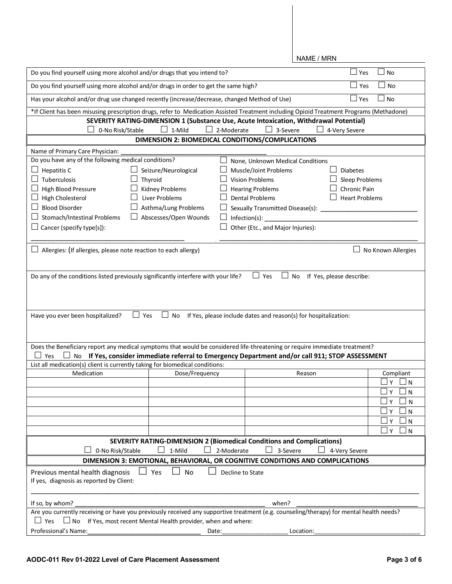| Do you find yourself using more alcohol and/or drugs that you intend to?<br>⊿ Yes                                                       |                                                                                                                                                                                                                               |                                                                                       |                          | <b>No</b>          |  |  |  |  |  |
|-----------------------------------------------------------------------------------------------------------------------------------------|-------------------------------------------------------------------------------------------------------------------------------------------------------------------------------------------------------------------------------|---------------------------------------------------------------------------------------|--------------------------|--------------------|--|--|--|--|--|
| Do you find yourself using more alcohol and/or drugs in order to get the same high?                                                     | $\square$ Yes<br>No                                                                                                                                                                                                           |                                                                                       |                          |                    |  |  |  |  |  |
| $\square$ Yes<br>Has your alcohol and/or drug use changed recently (increase/decrease, changed Method of Use)                           |                                                                                                                                                                                                                               |                                                                                       |                          | <b>No</b>          |  |  |  |  |  |
| *If Client has been misusing prescription drugs, refer to Medication Assisted Treatment including Opioid Treatment Programs (Methadone) |                                                                                                                                                                                                                               |                                                                                       |                          |                    |  |  |  |  |  |
|                                                                                                                                         |                                                                                                                                                                                                                               | SEVERITY RATING-DIMENSION 1 (Substance Use, Acute Intoxication, Withdrawal Potential) |                          |                    |  |  |  |  |  |
| 0-No Risk/Stable                                                                                                                        | 1-Mild                                                                                                                                                                                                                        | 2-Moderate<br>$\Box$ 3-Severe                                                         | 4-Very Severe            |                    |  |  |  |  |  |
|                                                                                                                                         |                                                                                                                                                                                                                               | DIMENSION 2: BIOMEDICAL CONDITIONS/COMPLICATIONS                                      |                          |                    |  |  |  |  |  |
|                                                                                                                                         |                                                                                                                                                                                                                               |                                                                                       |                          |                    |  |  |  |  |  |
| Name of Primary Care Physician:                                                                                                         |                                                                                                                                                                                                                               |                                                                                       |                          |                    |  |  |  |  |  |
| Do you have any of the following medical conditions?                                                                                    |                                                                                                                                                                                                                               | None, Unknown Medical Conditions                                                      |                          |                    |  |  |  |  |  |
| Hepatitis C                                                                                                                             | Seizure/Neurological                                                                                                                                                                                                          | Muscle/Joint Problems                                                                 | Diabetes                 |                    |  |  |  |  |  |
| Tuberculosis                                                                                                                            | Thyroid                                                                                                                                                                                                                       | <b>Vision Problems</b>                                                                | Sleep Problems           |                    |  |  |  |  |  |
| High Blood Pressure                                                                                                                     | Kidney Problems                                                                                                                                                                                                               | <b>Hearing Problems</b>                                                               | Chronic Pain             |                    |  |  |  |  |  |
| <b>High Cholesterol</b>                                                                                                                 | Liver Problems                                                                                                                                                                                                                | <b>Dental Problems</b>                                                                | <b>Heart Problems</b>    |                    |  |  |  |  |  |
| <b>Blood Disorder</b>                                                                                                                   | Asthma/Lung Problems                                                                                                                                                                                                          |                                                                                       |                          |                    |  |  |  |  |  |
|                                                                                                                                         |                                                                                                                                                                                                                               | Sexually Transmitted Disease(s):                                                      |                          |                    |  |  |  |  |  |
| Stomach/Intestinal Problems                                                                                                             | Abscesses/Open Wounds                                                                                                                                                                                                         | ப<br>Infection(s):                                                                    |                          |                    |  |  |  |  |  |
| Cancer (specify type[s]):                                                                                                               |                                                                                                                                                                                                                               | Other (Etc., and Major Injuries):                                                     |                          |                    |  |  |  |  |  |
|                                                                                                                                         |                                                                                                                                                                                                                               |                                                                                       |                          |                    |  |  |  |  |  |
|                                                                                                                                         |                                                                                                                                                                                                                               |                                                                                       |                          |                    |  |  |  |  |  |
| $\Box$ Allergies: (If allergies, please note reaction to each allergy)                                                                  |                                                                                                                                                                                                                               |                                                                                       |                          | No Known Allergies |  |  |  |  |  |
|                                                                                                                                         |                                                                                                                                                                                                                               |                                                                                       |                          |                    |  |  |  |  |  |
|                                                                                                                                         |                                                                                                                                                                                                                               |                                                                                       |                          |                    |  |  |  |  |  |
| Do any of the conditions listed previously significantly interfere with your life?                                                      |                                                                                                                                                                                                                               | $\Box$ Yes<br>No                                                                      | If Yes, please describe: |                    |  |  |  |  |  |
|                                                                                                                                         |                                                                                                                                                                                                                               |                                                                                       |                          |                    |  |  |  |  |  |
|                                                                                                                                         |                                                                                                                                                                                                                               |                                                                                       |                          |                    |  |  |  |  |  |
|                                                                                                                                         |                                                                                                                                                                                                                               |                                                                                       |                          |                    |  |  |  |  |  |
| Have you ever been hospitalized?                                                                                                        | $\Box$ Yes<br>No                                                                                                                                                                                                              | If Yes, please include dates and reason(s) for hospitalization:                       |                          |                    |  |  |  |  |  |
|                                                                                                                                         |                                                                                                                                                                                                                               |                                                                                       |                          |                    |  |  |  |  |  |
|                                                                                                                                         |                                                                                                                                                                                                                               |                                                                                       |                          |                    |  |  |  |  |  |
|                                                                                                                                         |                                                                                                                                                                                                                               |                                                                                       |                          |                    |  |  |  |  |  |
|                                                                                                                                         |                                                                                                                                                                                                                               |                                                                                       |                          |                    |  |  |  |  |  |
| Yes                                                                                                                                     | Does the Beneficiary report any medical symptoms that would be considered life-threatening or require immediate treatment?<br>No If Yes, consider immediate referral to Emergency Department and/or call 911; STOP ASSESSMENT |                                                                                       |                          |                    |  |  |  |  |  |
|                                                                                                                                         |                                                                                                                                                                                                                               |                                                                                       |                          |                    |  |  |  |  |  |
|                                                                                                                                         |                                                                                                                                                                                                                               |                                                                                       |                          |                    |  |  |  |  |  |
| List all medication(s) client is currently taking for biomedical conditions:                                                            |                                                                                                                                                                                                                               |                                                                                       |                          |                    |  |  |  |  |  |
| Medication                                                                                                                              | Dose/Frequency                                                                                                                                                                                                                | Reason                                                                                |                          | Compliant          |  |  |  |  |  |
|                                                                                                                                         |                                                                                                                                                                                                                               |                                                                                       |                          | γ<br>N             |  |  |  |  |  |
|                                                                                                                                         |                                                                                                                                                                                                                               |                                                                                       |                          | Υ<br>N             |  |  |  |  |  |
|                                                                                                                                         |                                                                                                                                                                                                                               |                                                                                       |                          | Y<br>N             |  |  |  |  |  |
|                                                                                                                                         |                                                                                                                                                                                                                               |                                                                                       |                          | Y<br>N             |  |  |  |  |  |
|                                                                                                                                         |                                                                                                                                                                                                                               |                                                                                       |                          | Y<br>N             |  |  |  |  |  |
|                                                                                                                                         |                                                                                                                                                                                                                               |                                                                                       |                          |                    |  |  |  |  |  |
|                                                                                                                                         |                                                                                                                                                                                                                               |                                                                                       |                          | Υ<br>N             |  |  |  |  |  |
|                                                                                                                                         |                                                                                                                                                                                                                               | SEVERITY RATING-DIMENSION 2 (Biomedical Conditions and Complications)                 |                          |                    |  |  |  |  |  |
| 0-No Risk/Stable                                                                                                                        | 1-Mild                                                                                                                                                                                                                        | 2-Moderate<br>3-Severe                                                                | 4-Very Severe            |                    |  |  |  |  |  |
|                                                                                                                                         |                                                                                                                                                                                                                               | DIMENSION 3: EMOTIONAL, BEHAVIORAL, OR COGNITIVE CONDITIONS AND COMPLICATIONS         |                          |                    |  |  |  |  |  |
|                                                                                                                                         |                                                                                                                                                                                                                               |                                                                                       |                          |                    |  |  |  |  |  |
| Previous mental health diagnosis                                                                                                        | Yes<br>No                                                                                                                                                                                                                     | Decline to State                                                                      |                          |                    |  |  |  |  |  |
| If yes, diagnosis as reported by Client:                                                                                                |                                                                                                                                                                                                                               |                                                                                       |                          |                    |  |  |  |  |  |
|                                                                                                                                         |                                                                                                                                                                                                                               |                                                                                       |                          |                    |  |  |  |  |  |
| If so, by whom?                                                                                                                         |                                                                                                                                                                                                                               | when?                                                                                 |                          |                    |  |  |  |  |  |
| Are you currently receiving or have you previously received any supportive treatment (e.g. counseling/therapy) for mental health needs? |                                                                                                                                                                                                                               |                                                                                       |                          |                    |  |  |  |  |  |
| $\Box$ Yes                                                                                                                              |                                                                                                                                                                                                                               |                                                                                       |                          |                    |  |  |  |  |  |
| Professional's Name:                                                                                                                    | $\Box$ No If Yes, most recent Mental Health provider, when and where:                                                                                                                                                         | Location:<br>Date:                                                                    |                          |                    |  |  |  |  |  |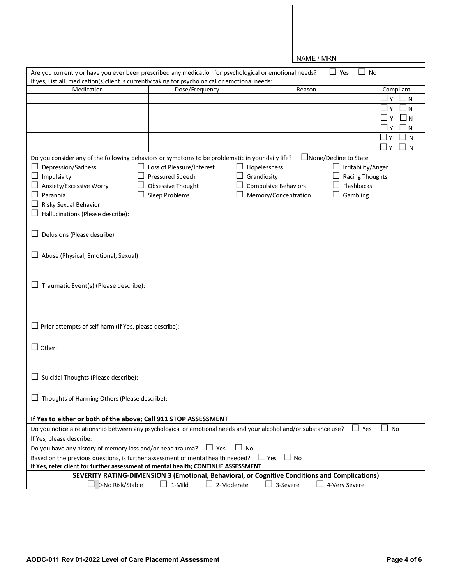|                                                            |                                                                                                                  | NAME / MRN             |                              |
|------------------------------------------------------------|------------------------------------------------------------------------------------------------------------------|------------------------|------------------------------|
|                                                            | Are you currently or have you ever been prescribed any medication for psychological or emotional needs?          |                        | No<br>Yes                    |
|                                                            | If yes, List all medication(s)client is currently taking for psychological or emotional needs:                   |                        |                              |
| Medication                                                 | Dose/Frequency                                                                                                   | Reason                 | Compliant                    |
|                                                            |                                                                                                                  |                        | Y<br>${\sf N}$               |
|                                                            |                                                                                                                  |                        | Y<br>N                       |
|                                                            |                                                                                                                  |                        | Υ<br>$\mathsf{N}$            |
|                                                            |                                                                                                                  |                        | N<br>Y                       |
|                                                            |                                                                                                                  |                        | Y<br>N                       |
|                                                            |                                                                                                                  |                        | Y<br>N                       |
|                                                            | Do you consider any of the following behaviors or symptoms to be problematic in your daily life?                 |                        | $\Box$ None/Decline to State |
| Depression/Sadness                                         | Loss of Pleasure/Interest                                                                                        | Hopelessness           | Irritability/Anger           |
| Impulsivity                                                | Pressured Speech                                                                                                 | Grandiosity            | <b>Racing Thoughts</b>       |
| Anxiety/Excessive Worry                                    | <b>Obsessive Thought</b>                                                                                         | Compulsive Behaviors   | Flashbacks                   |
| Paranoia                                                   | Sleep Problems                                                                                                   | Memory/Concentration   | Gambling                     |
| Risky Sexual Behavior                                      |                                                                                                                  |                        |                              |
| Hallucinations (Please describe):                          |                                                                                                                  |                        |                              |
|                                                            |                                                                                                                  |                        |                              |
| Delusions (Please describe):                               |                                                                                                                  |                        |                              |
|                                                            |                                                                                                                  |                        |                              |
| Abuse (Physical, Emotional, Sexual):                       |                                                                                                                  |                        |                              |
| $\Box$ Traumatic Event(s) (Please describe):               |                                                                                                                  |                        |                              |
| Prior attempts of self-harm (If Yes, please describe):     |                                                                                                                  |                        |                              |
| $\Box$ Other:                                              |                                                                                                                  |                        |                              |
|                                                            |                                                                                                                  |                        |                              |
|                                                            |                                                                                                                  |                        |                              |
| Suicidal Thoughts (Please describe):                       |                                                                                                                  |                        |                              |
|                                                            |                                                                                                                  |                        |                              |
| $\Box$ Thoughts of Harming Others (Please describe):       |                                                                                                                  |                        |                              |
|                                                            |                                                                                                                  |                        |                              |
|                                                            | If Yes to either or both of the above; Call 911 STOP ASSESSMENT                                                  |                        |                              |
|                                                            | Do you notice a relationship between any psychological or emotional needs and your alcohol and/or substance use? |                        | No<br>$\Box$ Yes             |
| If Yes, please describe:                                   |                                                                                                                  |                        |                              |
| Do you have any history of memory loss and/or head trauma? | Yes                                                                                                              | No                     |                              |
|                                                            | Based on the previous questions, is further assessment of mental health needed?                                  | $\Box$ No<br>⊿ Yes     |                              |
|                                                            | If Yes, refer client for further assessment of mental health; CONTINUE ASSESSMENT                                |                        |                              |
|                                                            | SEVERITY RATING-DIMENSION 3 (Emotional, Behavioral, or Cognitive Conditions and Complications)                   |                        |                              |
| 0-No Risk/Stable                                           | 1-Mild                                                                                                           | 2-Moderate<br>3-Severe | 4-Very Severe                |
|                                                            |                                                                                                                  |                        |                              |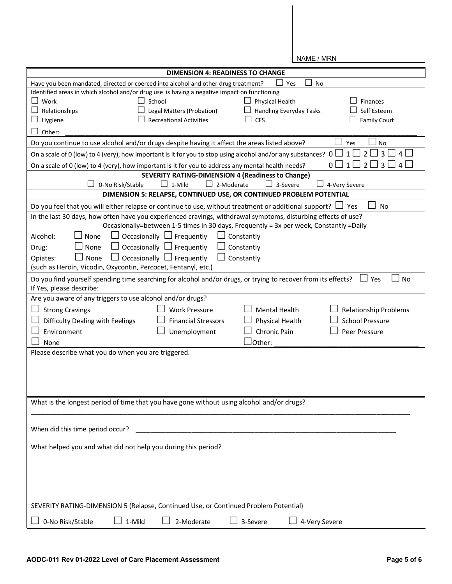| <b>DIMENSION 4: READINESS TO CHANGE</b>                                                                                                              |  |  |  |  |
|------------------------------------------------------------------------------------------------------------------------------------------------------|--|--|--|--|
| Have you been mandated, directed or coerced into alcohol and other drug treatment?<br>No<br>Yes                                                      |  |  |  |  |
| Identified areas in which alcohol and/or drug use is having a negative impact on functioning<br>School<br><b>Physical Health</b><br>Work<br>Finances |  |  |  |  |
| Self Esteem<br>Relationships<br>Legal Matters (Probation)<br><b>Handling Everyday Tasks</b>                                                          |  |  |  |  |
| <b>Recreational Activities</b><br><b>CFS</b><br><b>Family Court</b><br>Hygiene                                                                       |  |  |  |  |
| Other:                                                                                                                                               |  |  |  |  |
| Do you continue to use alcohol and/or drugs despite having it affect the areas listed above?<br>Yes<br>No                                            |  |  |  |  |
| On a scale of 0 (low) to 4 (very), how important is it for you to stop using alcohol and/or any substances? O<br>3<br>4                              |  |  |  |  |
| 0<br>3<br>On a scale of 0 (low) to 4 (very), how important is it for you to address any mental health needs?<br>1<br>2<br>4                          |  |  |  |  |
| <b>SEVERITY RATING-DIMENSION 4 (Readiness to Change)</b><br>3-Severe<br>4-Very Severe<br>0-No Risk/Stable<br>1-Mild<br>2-Moderate                    |  |  |  |  |
| DIMENSION 5: RELAPSE, CONTINUED USE, OR CONTINUED PROBLEM POTENTIAL                                                                                  |  |  |  |  |
| Do you feel that you will either relapse or continue to use, without treatment or additional support?  <br><b>No</b><br>$\sqcup$ Yes                 |  |  |  |  |
| In the last 30 days, how often have you experienced cravings, withdrawal symptoms, disturbing effects of use?                                        |  |  |  |  |
| Occasionally=between 1-5 times in 30 days, Frequently = 3x per week, Constantly =Daily                                                               |  |  |  |  |
| Occasionally $\Box$ Frequently<br>Constantly<br>Alcohol:<br>None                                                                                     |  |  |  |  |
| Occasionally $\Box$ Frequently<br>Constantly<br>Drug:<br>None                                                                                        |  |  |  |  |
| $\Box$ Occasionally $\Box$ Frequently<br>None<br>Constantly<br>Opiates:                                                                              |  |  |  |  |
| (such as Heroin, Vicodin, Oxycontin, Percocet, Fentanyl, etc.)                                                                                       |  |  |  |  |
| Do you find yourself spending time searching for alcohol and/or drugs, or trying to recover from its effects?<br>No<br>Yes                           |  |  |  |  |
| If Yes, please describe:                                                                                                                             |  |  |  |  |
| Are you aware of any triggers to use alcohol and/or drugs?                                                                                           |  |  |  |  |
| <b>Mental Health</b><br><b>Strong Cravings</b><br><b>Work Pressure</b><br><b>Relationship Problems</b>                                               |  |  |  |  |
| Physical Health<br>Difficulty Dealing with Feelings<br><b>Financial Stressors</b><br><b>School Pressure</b>                                          |  |  |  |  |
| Environment<br>Chronic Pain<br>Unemployment<br>Peer Pressure                                                                                         |  |  |  |  |
| Other:<br>None                                                                                                                                       |  |  |  |  |
| Please describe what you do when you are triggered.                                                                                                  |  |  |  |  |
|                                                                                                                                                      |  |  |  |  |
|                                                                                                                                                      |  |  |  |  |
|                                                                                                                                                      |  |  |  |  |
| What is the longest period of time that you have gone without using alcohol and/or drugs?                                                            |  |  |  |  |
|                                                                                                                                                      |  |  |  |  |
|                                                                                                                                                      |  |  |  |  |
| When did this time period occur?                                                                                                                     |  |  |  |  |
| What helped you and what did not help you during this period?                                                                                        |  |  |  |  |
|                                                                                                                                                      |  |  |  |  |
|                                                                                                                                                      |  |  |  |  |
|                                                                                                                                                      |  |  |  |  |
|                                                                                                                                                      |  |  |  |  |
| SEVERITY RATING-DIMENSION 5 (Relapse, Continued Use, or Continued Problem Potential)                                                                 |  |  |  |  |
|                                                                                                                                                      |  |  |  |  |
| 1-Mild<br>2-Moderate<br>3-Severe<br>0-No Risk/Stable<br>4-Very Severe                                                                                |  |  |  |  |